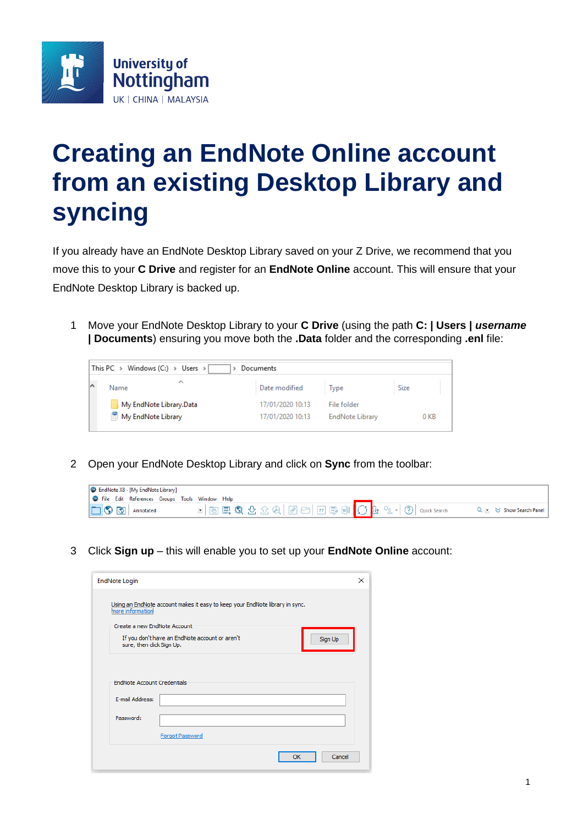

## **Creating an EndNote Online account from an existing Desktop Library and syncing**

If you already have an EndNote Desktop Library saved on your Z Drive, we recommend that you move this to your **C Drive** and register for an **EndNote Online** account. This will ensure that your EndNote Desktop Library is backed up.

1 Move your EndNote Desktop Library to your **C Drive** (using the path **C: | Users |** *username*  **| Documents**) ensuring you move both the **.Data** folder and the corresponding **.enl** file:

| This PC $\rightarrow$ Windows (C:) $\rightarrow$ Users $\rightarrow$<br>Documents |                  |                        |      |
|-----------------------------------------------------------------------------------|------------------|------------------------|------|
| ∼<br>Name                                                                         | Date modified    | Type                   | Size |
| My EndNote Library.Data                                                           | 17/01/2020 10:13 | File folder            |      |
| My EndNote Library                                                                | 17/01/2020 10:13 | <b>EndNote Library</b> | 0 KB |

2 Open your EndNote Desktop Library and click on **Sync** from the toolbar:

| <b>C</b> EndNote X8 - [My EndNote Library]             |                              |
|--------------------------------------------------------|------------------------------|
| <b>C</b> File Edit References Groups Tools Window Help |                              |
| <b>C</b> Annotated                                     | Q - $\leq$ Show Search Panel |

3 Click **Sign up** – this will enable you to set up your **EndNote Online** account:

| <b>EndNote Login</b>                                                                                        |         | × |
|-------------------------------------------------------------------------------------------------------------|---------|---|
| Using an EndNote account makes it easy to keep your EndNote library in sync.<br>more information            |         |   |
| Create a new EndNote Account<br>If you don't have an EndNote account or aren't<br>sure, then click Sign Up. | Sign Up |   |
| <b>EndNote Account Credentials</b>                                                                          |         |   |
| E-mail Address:                                                                                             |         |   |
| Password:                                                                                                   |         |   |
| Forgot Password                                                                                             |         |   |
| OK                                                                                                          | Cancel  |   |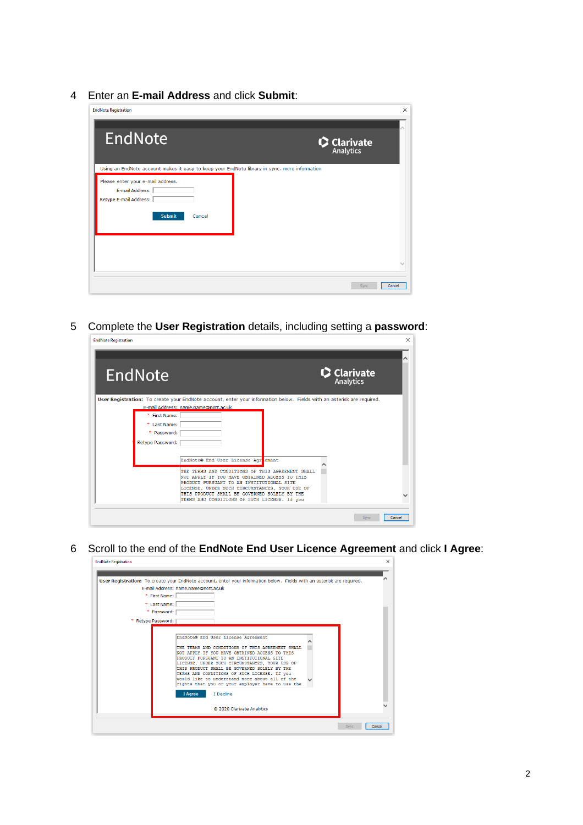Enter an **E-mail Address** and click **Submit**:

| EndNote                                                                                                   | $\mathbf{\Omega}$ Clarivate |
|-----------------------------------------------------------------------------------------------------------|-----------------------------|
| Using an EndNote account makes it easy to keep your EndNote library in sync. more information             |                             |
| Please enter your e-mail address.<br>E-mail Address:<br>Retype E-mail Address:<br><b>Submit</b><br>Cancel |                             |
|                                                                                                           |                             |
|                                                                                                           |                             |
|                                                                                                           |                             |

Complete the **User Registration** details, including setting a **password**:

| EndNote          |                                                                                                                                                                                                  | C Clarivate |
|------------------|--------------------------------------------------------------------------------------------------------------------------------------------------------------------------------------------------|-------------|
|                  | User Registration: To create your EndNote account, enter your information below. Fields with an asterisk are required.                                                                           |             |
| * First Name:    | E-mail Address: name.name@nott.ac.uk                                                                                                                                                             |             |
| * Last Name:     |                                                                                                                                                                                                  |             |
| * Password:      |                                                                                                                                                                                                  |             |
| Retype Password: |                                                                                                                                                                                                  |             |
|                  |                                                                                                                                                                                                  |             |
|                  | EndNote® End User License Agreement                                                                                                                                                              |             |
|                  | THE TERMS AND CONDITIONS OF THIS AGREEMENT SHALL<br>NOT APPLY IF YOU HAVE OBTAINED ACCESS TO THIS<br>PRODUCT PURSUANT TO AN INSTITUTIONAL SITE<br>LICENSE. UNDER SUCH CIRCUMSTANCES, YOUR USE OF |             |
|                  | THIS PRODUCT SHALL BE GOVERNED SOLELY BY THE                                                                                                                                                     |             |

Scroll to the end of the **EndNote End User Licence Agreement** and click **I Agree**:

|                                              | User Registration: To create your EndNote account, enter your information below. Fields with an asterisk are required.                                                                                                                                                                                                                                                                                                                                                 |
|----------------------------------------------|------------------------------------------------------------------------------------------------------------------------------------------------------------------------------------------------------------------------------------------------------------------------------------------------------------------------------------------------------------------------------------------------------------------------------------------------------------------------|
| * First Name:<br>* Last Name:<br>* Password: | E-mail Address: name.name@nott.ac.uk                                                                                                                                                                                                                                                                                                                                                                                                                                   |
| * Retype Password:                           | EndNote® End User License Agreement<br>THE TERMS AND CONDITIONS OF THIS AGREEMENT SHALL.<br>NOT APPLY IF YOU HAVE OBTAINED ACCESS TO THIS<br>PRODUCT PURSUANT TO AN INSTITUTIONAL SITE<br>LICENSE. UNDER SUCH CIRCUMSTANCES, YOUR USE OF<br>THIS PRODUCT SHALL BE GOVERNED SOLELY BY THE<br>TERMS AND CONDITIONS OF SUCH LICENSE. If you<br>would like to understand more about all of the<br>rights that you or your employer have to use the<br>I Agree<br>I Decline |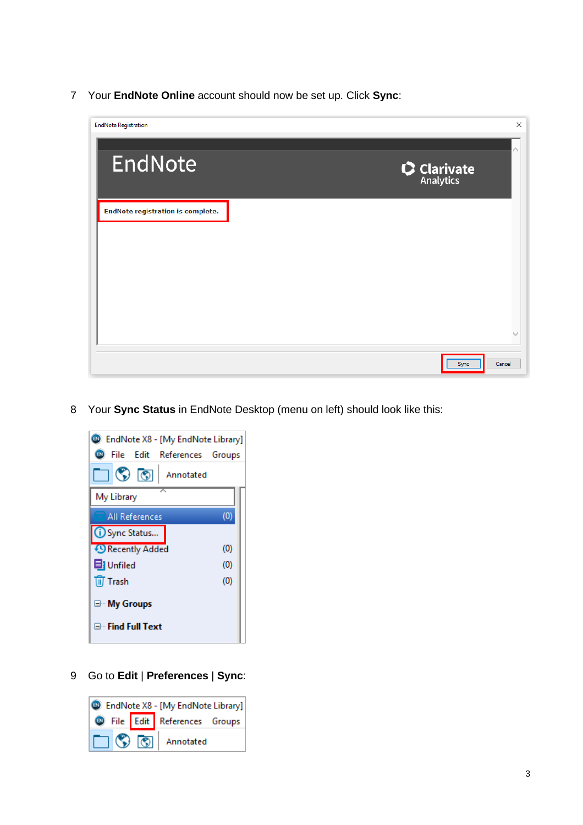Your **EndNote Online** account should now be set up. Click **Sync**:



Your **Sync Status** in EndNote Desktop (menu on left) should look like this:



Go to **Edit** | **Preferences** | **Sync**: